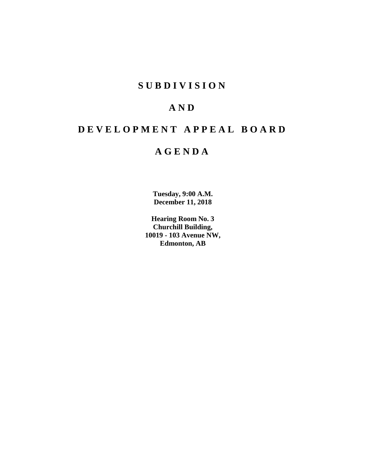# **SUBDIVISION**

# **AND**

# **DEVELOPMENT APPEAL BOARD**

# **AGENDA**

**Tuesday, 9:00 A.M. December 11, 2018**

**Hearing Room No. 3 Churchill Building, 10019 - 103 Avenue NW, Edmonton, AB**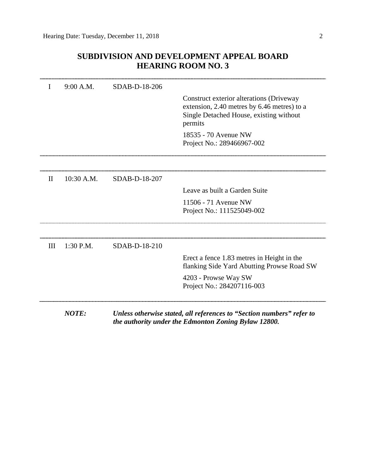# **SUBDIVISION AND DEVELOPMENT APPEAL BOARD HEARING ROOM NO. 3**

| I            | 9:00 A.M.    | SDAB-D-18-206 |                                                                                                                                               |
|--------------|--------------|---------------|-----------------------------------------------------------------------------------------------------------------------------------------------|
|              |              |               | Construct exterior alterations (Driveway<br>extension, 2.40 metres by 6.46 metres) to a<br>Single Detached House, existing without<br>permits |
|              |              |               | 18535 - 70 Avenue NW<br>Project No.: 289466967-002                                                                                            |
|              |              |               |                                                                                                                                               |
|              |              |               |                                                                                                                                               |
| $\mathbf{I}$ | 10:30 A.M.   | SDAB-D-18-207 |                                                                                                                                               |
|              |              |               | Leave as built a Garden Suite                                                                                                                 |
|              |              |               | 11506 - 71 Avenue NW                                                                                                                          |
|              |              |               | Project No.: 111525049-002                                                                                                                    |
|              |              |               |                                                                                                                                               |
| III          | 1:30 P.M.    | SDAB-D-18-210 |                                                                                                                                               |
|              |              |               | Erect a fence 1.83 metres in Height in the<br>flanking Side Yard Abutting Prowse Road SW                                                      |
|              |              |               | 4203 - Prowse Way SW<br>Project No.: 284207116-003                                                                                            |
|              | <b>NOTE:</b> |               | Unless otherwise stated, all references to "Section numbers" refer to<br>the authority under the Edmonton Zoning Bylaw 12800.                 |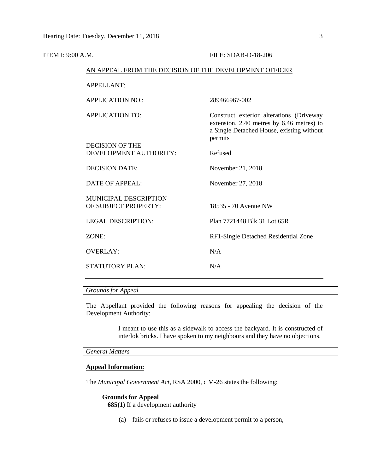| <b>ITEM I: 9:00 A.M.</b> |                                                        | FILE: SDAB-D-18-206                                                                                                                           |  |  |
|--------------------------|--------------------------------------------------------|-----------------------------------------------------------------------------------------------------------------------------------------------|--|--|
|                          | AN APPEAL FROM THE DECISION OF THE DEVELOPMENT OFFICER |                                                                                                                                               |  |  |
|                          | <b>APPELLANT:</b>                                      |                                                                                                                                               |  |  |
|                          | <b>APPLICATION NO.:</b>                                | 289466967-002                                                                                                                                 |  |  |
|                          | <b>APPLICATION TO:</b>                                 | Construct exterior alterations (Driveway<br>extension, 2.40 metres by 6.46 metres) to<br>a Single Detached House, existing without<br>permits |  |  |
|                          | <b>DECISION OF THE</b><br>DEVELOPMENT AUTHORITY:       | Refused                                                                                                                                       |  |  |
|                          | <b>DECISION DATE:</b>                                  | November 21, 2018                                                                                                                             |  |  |
|                          | DATE OF APPEAL:                                        | November 27, 2018                                                                                                                             |  |  |
|                          | MUNICIPAL DESCRIPTION<br>OF SUBJECT PROPERTY:          | 18535 - 70 Avenue NW                                                                                                                          |  |  |
|                          | <b>LEGAL DESCRIPTION:</b>                              | Plan 7721448 Blk 31 Lot 65R                                                                                                                   |  |  |
|                          | ZONE:                                                  | RF1-Single Detached Residential Zone                                                                                                          |  |  |
|                          | <b>OVERLAY:</b>                                        | N/A                                                                                                                                           |  |  |
|                          | <b>STATUTORY PLAN:</b>                                 | N/A                                                                                                                                           |  |  |
|                          |                                                        |                                                                                                                                               |  |  |

*Grounds for Appeal*

The Appellant provided the following reasons for appealing the decision of the Development Authority:

> I meant to use this as a sidewalk to access the backyard. It is constructed of interlok bricks. I have spoken to my neighbours and they have no objections.

## *General Matters*

## **Appeal Information:**

The *Municipal Government Act*, RSA 2000, c M-26 states the following:

## **Grounds for Appeal**

**685(1)** If a development authority

(a) fails or refuses to issue a development permit to a person,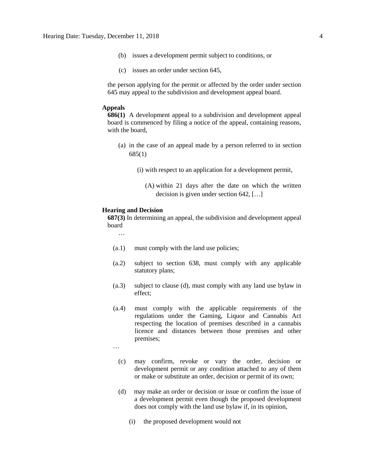- (b) issues a development permit subject to conditions, or
- (c) issues an order under section 645,

the person applying for the permit or affected by the order under section 645 may appeal to the subdivision and development appeal board.

#### **Appeals**

**686(1)** A development appeal to a subdivision and development appeal board is commenced by filing a notice of the appeal, containing reasons, with the board,

- (a) in the case of an appeal made by a person referred to in section 685(1)
	- (i) with respect to an application for a development permit,
		- (A) within 21 days after the date on which the written decision is given under section 642, […]

### **Hearing and Decision**

**687(3)** In determining an appeal, the subdivision and development appeal board

…

- (a.1) must comply with the land use policies;
- (a.2) subject to section 638, must comply with any applicable statutory plans;
- (a.3) subject to clause (d), must comply with any land use bylaw in effect;
- (a.4) must comply with the applicable requirements of the regulations under the Gaming, Liquor and Cannabis Act respecting the location of premises described in a cannabis licence and distances between those premises and other premises;
- …
	- (c) may confirm, revoke or vary the order, decision or development permit or any condition attached to any of them or make or substitute an order, decision or permit of its own;
	- (d) may make an order or decision or issue or confirm the issue of a development permit even though the proposed development does not comply with the land use bylaw if, in its opinion,
		- (i) the proposed development would not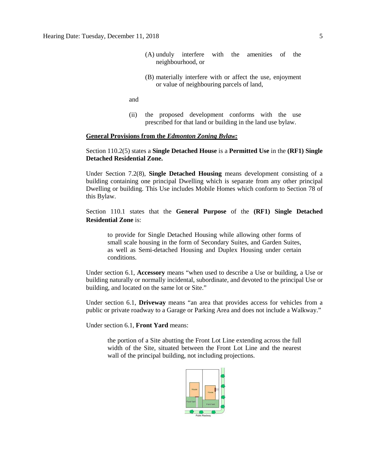- (A) unduly interfere with the amenities of the neighbourhood, or
- (B) materially interfere with or affect the use, enjoyment or value of neighbouring parcels of land,

and

(ii) the proposed development conforms with the use prescribed for that land or building in the land use bylaw.

#### **General Provisions from the** *Edmonton Zoning Bylaw:*

## Section 110.2(5) states a **Single Detached House** is a **Permitted Use** in the **(RF1) Single Detached Residential Zone.**

Under Section 7.2(8), **Single Detached Housing** means development consisting of a building containing one principal Dwelling which is separate from any other principal Dwelling or building. This Use includes Mobile Homes which conform to Section 78 of this Bylaw.

Section 110.1 states that the **General Purpose** of the **(RF1) Single Detached Residential Zone** is:

to provide for Single Detached Housing while allowing other forms of small scale housing in the form of Secondary Suites, and Garden Suites, as well as Semi-detached Housing and Duplex Housing under certain conditions.

Under section 6.1, **Accessory** means "when used to describe a Use or building, a Use or building naturally or normally incidental, subordinate, and devoted to the principal Use or building, and located on the same lot or Site."

Under section 6.1, **Driveway** means "an area that provides access for vehicles from a public or private roadway to a Garage or Parking Area and does not include a Walkway."

Under section 6.1, **Front Yard** means:

the portion of a Site abutting the Front Lot Line extending across the full width of the Site, situated between the Front Lot Line and the nearest wall of the principal building, not including projections.

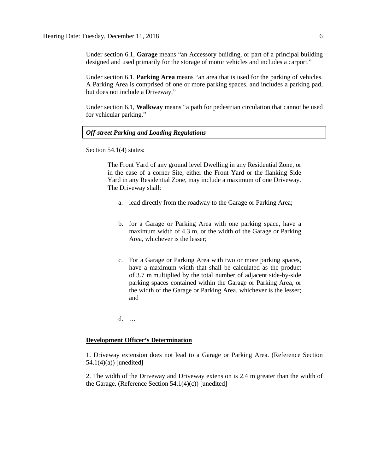Under section 6.1, **Garage** means "an Accessory building, or part of a principal building designed and used primarily for the storage of motor vehicles and includes a carport."

Under section 6.1, **Parking Area** means "an area that is used for the parking of vehicles. A Parking Area is comprised of one or more parking spaces, and includes a parking pad, but does not include a Driveway."

Under section 6.1, **Walkway** means "a path for pedestrian circulation that cannot be used for vehicular parking."

### *Off-street Parking and Loading Regulations*

Section 54.1(4) states:

The Front Yard of any ground level Dwelling in any Residential Zone, or in the case of a corner Site, either the Front Yard or the flanking Side Yard in any Residential Zone, may include a maximum of one Driveway. The Driveway shall:

- a. lead directly from the roadway to the Garage or Parking Area;
- b. for a Garage or Parking Area with one parking space, have a maximum width of [4.3 m,](javascript:void(0);) or the width of the Garage or Parking Area, whichever is the lesser;
- c. For a Garage or Parking Area with two or more parking spaces, have a maximum width that shall be calculated as the product of [3.7 m](javascript:void(0);) multiplied by the total number of adjacent side-by-side parking spaces contained within the Garage or Parking Area, or the width of the Garage or Parking Area, whichever is the lesser; and

d. …

#### **Development Officer's Determination**

1. Driveway extension does not lead to a Garage or Parking Area. (Reference Section  $54.1(4)(a)$  [unedited]

2. The width of the Driveway and Driveway extension is 2.4 m greater than the width of the Garage. (Reference Section  $54.1(4)(c)$ ) [unedited]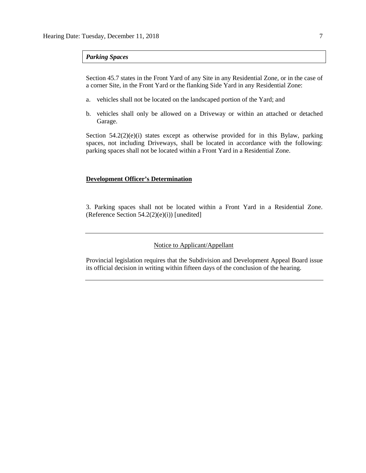#### *Parking Spaces*

Section 45.7 states in the Front Yard of any Site in any Residential Zone, or in the case of a corner Site, in the Front Yard or the flanking Side Yard in any Residential Zone:

- a. vehicles shall not be located on the landscaped portion of the Yard; and
- b. vehicles shall only be allowed on a Driveway or within an attached or detached Garage.

Section  $54.2(2)(e)(i)$  states except as otherwise provided for in this Bylaw, parking spaces, not including Driveways, shall be located in accordance with the following: parking spaces shall not be located within a Front Yard in a Residential Zone.

#### **Development Officer's Determination**

3. Parking spaces shall not be located within a Front Yard in a Residential Zone. (Reference Section 54.2(2)(e)(i)) [unedited]

### Notice to Applicant/Appellant

Provincial legislation requires that the Subdivision and Development Appeal Board issue its official decision in writing within fifteen days of the conclusion of the hearing.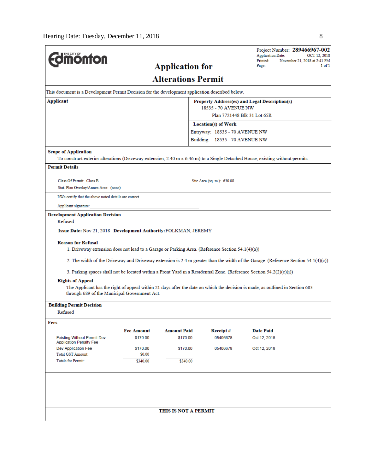| THE CITY OF                                                                                                                                                                   |                    |                           |                                                     | <b>Application Date:</b> | Project Number: 289466967-002<br>OCT 12, 2018 |  |
|-------------------------------------------------------------------------------------------------------------------------------------------------------------------------------|--------------------|---------------------------|-----------------------------------------------------|--------------------------|-----------------------------------------------|--|
| <b>dmonton</b>                                                                                                                                                                |                    | <b>Application for</b>    |                                                     | Printed:<br>Page:        | November 21, 2018 at 2:41 PM<br>1 of 1        |  |
|                                                                                                                                                                               |                    |                           |                                                     |                          |                                               |  |
|                                                                                                                                                                               |                    | <b>Alterations Permit</b> |                                                     |                          |                                               |  |
| This document is a Development Permit Decision for the development application described below.                                                                               |                    |                           |                                                     |                          |                                               |  |
| Applicant                                                                                                                                                                     |                    |                           | Property Address(es) and Legal Description(s)       |                          |                                               |  |
|                                                                                                                                                                               |                    |                           | 18535 - 70 AVENUE NW<br>Plan 7721448 Blk 31 Lot 65R |                          |                                               |  |
|                                                                                                                                                                               |                    |                           | Location(s) of Work                                 |                          |                                               |  |
|                                                                                                                                                                               |                    |                           | Entryway: 18535 - 70 AVENUE NW                      |                          |                                               |  |
|                                                                                                                                                                               |                    |                           | Building: 18535 - 70 AVENUE NW                      |                          |                                               |  |
| <b>Scope of Application</b>                                                                                                                                                   |                    |                           |                                                     |                          |                                               |  |
| To construct exterior alterations (Driveway extension, 2.40 m x 6.46 m) to a Single Detached House, existing without permits.                                                 |                    |                           |                                                     |                          |                                               |  |
| <b>Permit Details</b>                                                                                                                                                         |                    |                           |                                                     |                          |                                               |  |
| Class Of Permit: Class B                                                                                                                                                      |                    |                           | Site Area (sq. m.): 650.08                          |                          |                                               |  |
| Stat. Plan Overlay/Annex Area: (none)                                                                                                                                         |                    |                           |                                                     |                          |                                               |  |
| I/We certify that the above noted details are correct.                                                                                                                        |                    |                           |                                                     |                          |                                               |  |
| Applicant signature:                                                                                                                                                          |                    |                           |                                                     |                          |                                               |  |
| <b>Development Application Decision</b>                                                                                                                                       |                    |                           |                                                     |                          |                                               |  |
| Refused                                                                                                                                                                       |                    |                           |                                                     |                          |                                               |  |
| Issue Date: Nov 21, 2018 Development Authority: FOLKMAN, JEREMY                                                                                                               |                    |                           |                                                     |                          |                                               |  |
| <b>Reason for Refusal</b><br>1. Driveway extension does not lead to a Garage or Parking Area. (Reference Section 54.1(4)(a))                                                  |                    |                           |                                                     |                          |                                               |  |
| 2. The width of the Driveway and Driveway extension is 2.4 m greater than the width of the Garage. (Reference Section 54.1(4)(c))                                             |                    |                           |                                                     |                          |                                               |  |
| 3. Parking spaces shall not be located within a Front Yard in a Residential Zone. (Reference Section 54.2(2)(e)(i))                                                           |                    |                           |                                                     |                          |                                               |  |
| <b>Rights of Appeal</b>                                                                                                                                                       |                    |                           |                                                     |                          |                                               |  |
| The Applicant has the right of appeal within 21 days after the date on which the decision is made, as outlined in Section 683<br>through 689 of the Municipal Government Act. |                    |                           |                                                     |                          |                                               |  |
| <b>Building Permit Decision</b>                                                                                                                                               |                    |                           |                                                     |                          |                                               |  |
| Refused                                                                                                                                                                       |                    |                           |                                                     |                          |                                               |  |
| Fees                                                                                                                                                                          |                    |                           |                                                     |                          |                                               |  |
|                                                                                                                                                                               | <b>Fee Amount</b>  | <b>Amount Paid</b>        | Receipt#                                            | <b>Date Paid</b>         |                                               |  |
| <b>Existing Without Permit Dev</b><br><b>Application Penalty Fee</b>                                                                                                          | \$170.00           | \$170.00                  | 05406678                                            | Oct 12, 2018             |                                               |  |
| Dev Application Fee                                                                                                                                                           | \$170.00           | \$170.00                  | 05406678                                            | Oct 12, 2018             |                                               |  |
| <b>Total GST Amount:</b><br><b>Totals for Permit:</b>                                                                                                                         | \$0.00<br>\$340.00 | \$340.00                  |                                                     |                          |                                               |  |
|                                                                                                                                                                               |                    |                           |                                                     |                          |                                               |  |
|                                                                                                                                                                               |                    |                           |                                                     |                          |                                               |  |
|                                                                                                                                                                               |                    |                           |                                                     |                          |                                               |  |
|                                                                                                                                                                               |                    |                           |                                                     |                          |                                               |  |
|                                                                                                                                                                               |                    | THIS IS NOT A PERMIT      |                                                     |                          |                                               |  |
|                                                                                                                                                                               |                    |                           |                                                     |                          |                                               |  |
|                                                                                                                                                                               |                    |                           |                                                     |                          |                                               |  |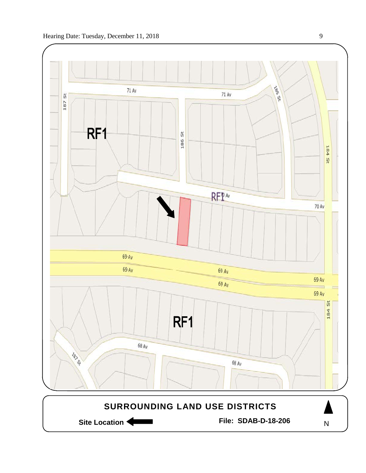

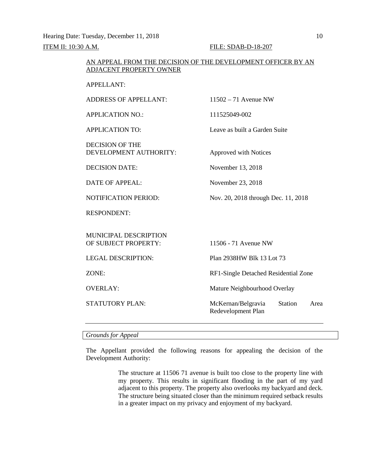Hearing Date: Tuesday, December 11, 2018 10

ITEM II: 10:30 A.M. FILE: SDAB-D-18-207

## AN APPEAL FROM THE DECISION OF THE DEVELOPMENT OFFICER BY AN ADJACENT PROPERTY OWNER

APPELLANT:

ADDRESS OF APPELLANT: 11502 – 71 Avenue NW

APPLICATION NO.: 111525049-002

APPLICATION TO: Leave as built a Garden Suite

DECISION OF THE DEVELOPMENT AUTHORITY: Approved with Notices

DECISION DATE: November 13, 2018

DATE OF APPEAL: November 23, 2018

NOTIFICATION PERIOD: Nov. 20, 2018 through Dec. 11, 2018

RESPONDENT:

MUNICIPAL DESCRIPTION OF SUBJECT PROPERTY: 11506 - 71 Avenue NW LEGAL DESCRIPTION: Plan 2938HW Blk 13 Lot 73 ZONE: RF1-Single Detached Residential Zone OVERLAY: Mature Neighbourhood Overlay STATUTORY PLAN: McKernan/Belgravia Station Area Redevelopment Plan

*Grounds for Appeal*

The Appellant provided the following reasons for appealing the decision of the Development Authority:

> The structure at 11506 71 avenue is built too close to the property line with my property. This results in significant flooding in the part of my yard adjacent to this property. The property also overlooks my backyard and deck. The structure being situated closer than the minimum required setback results in a greater impact on my privacy and enjoyment of my backyard.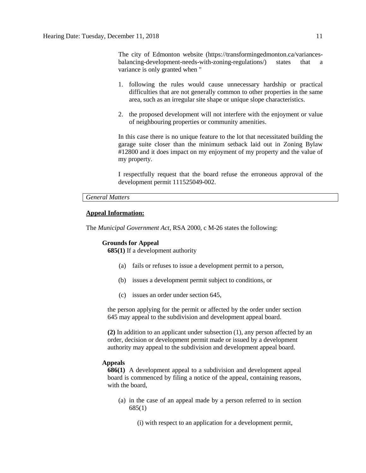The city of Edmonton website (https://transformingedmonton.ca/variancesbalancing-development-needs-with-zoning-regulations/) states that a variance is only granted when "

- 1. following the rules would cause unnecessary hardship or practical difficulties that are not generally common to other properties in the same area, such as an irregular site shape or unique slope characteristics.
- 2. the proposed development will not interfere with the enjoyment or value of neighbouring properties or community amenities.

In this case there is no unique feature to the lot that necessitated building the garage suite closer than the minimum setback laid out in Zoning Bylaw #12800 and it does impact on my enjoyment of my property and the value of my property.

I respectfully request that the board refuse the erroneous approval of the development permit 111525049-002.

#### *General Matters*

### **Appeal Information:**

The *Municipal Government Act*, RSA 2000, c M-26 states the following:

# **Grounds for Appeal**

**685(1)** If a development authority

- (a) fails or refuses to issue a development permit to a person,
- (b) issues a development permit subject to conditions, or
- (c) issues an order under section 645,

the person applying for the permit or affected by the order under section 645 may appeal to the subdivision and development appeal board.

**(2)** In addition to an applicant under subsection (1), any person affected by an order, decision or development permit made or issued by a development authority may appeal to the subdivision and development appeal board.

#### **Appeals**

**686(1)** A development appeal to a subdivision and development appeal board is commenced by filing a notice of the appeal, containing reasons, with the board,

(a) in the case of an appeal made by a person referred to in section 685(1)

(i) with respect to an application for a development permit,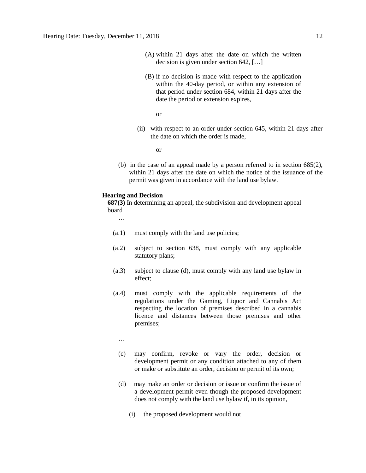- (A) within 21 days after the date on which the written decision is given under section 642, […]
- (B) if no decision is made with respect to the application within the 40-day period, or within any extension of that period under section 684, within 21 days after the date the period or extension expires,

or

(ii) with respect to an order under section 645, within 21 days after the date on which the order is made,

or

(b) in the case of an appeal made by a person referred to in section 685(2), within 21 days after the date on which the notice of the issuance of the permit was given in accordance with the land use bylaw.

#### **Hearing and Decision**

**687(3)** In determining an appeal, the subdivision and development appeal board

…

- (a.1) must comply with the land use policies;
- (a.2) subject to section 638, must comply with any applicable statutory plans;
- (a.3) subject to clause (d), must comply with any land use bylaw in effect;
- (a.4) must comply with the applicable requirements of the regulations under the Gaming, Liquor and Cannabis Act respecting the location of premises described in a cannabis licence and distances between those premises and other premises;

…

- (c) may confirm, revoke or vary the order, decision or development permit or any condition attached to any of them or make or substitute an order, decision or permit of its own;
- (d) may make an order or decision or issue or confirm the issue of a development permit even though the proposed development does not comply with the land use bylaw if, in its opinion,
	- (i) the proposed development would not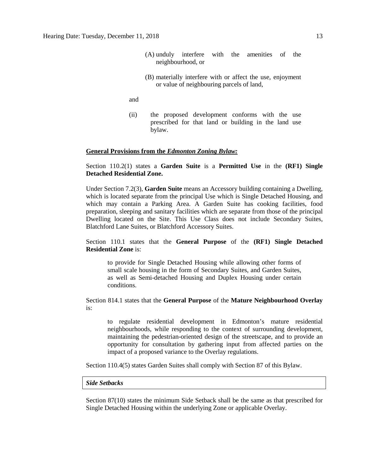- (A) unduly interfere with the amenities of the neighbourhood, or
- (B) materially interfere with or affect the use, enjoyment or value of neighbouring parcels of land,
- and
- (ii) the proposed development conforms with the use prescribed for that land or building in the land use bylaw.

#### **General Provisions from the** *Edmonton Zoning Bylaw:*

Section 110.2(1) states a **Garden Suite** is a **Permitted Use** in the **(RF1) Single Detached Residential Zone.**

Under Section 7.2(3), **Garden Suite** means an Accessory building containing a Dwelling, which is located separate from the principal Use which is Single Detached Housing, and which may contain a Parking Area. A Garden Suite has cooking facilities, food preparation, sleeping and sanitary facilities which are separate from those of the principal Dwelling located on the Site. This Use Class does not include Secondary Suites, Blatchford Lane Suites, or Blatchford Accessory Suites.

Section 110.1 states that the **General Purpose** of the **(RF1) Single Detached Residential Zone** is:

to provide for Single Detached Housing while allowing other forms of small scale housing in the form of Secondary Suites, and Garden Suites, as well as Semi-detached Housing and Duplex Housing under certain conditions.

Section 814.1 states that the **General Purpose** of the **Mature Neighbourhood Overlay** is:

to regulate residential development in Edmonton's mature residential neighbourhoods, while responding to the context of surrounding development, maintaining the pedestrian-oriented design of the streetscape, and to provide an opportunity for consultation by gathering input from affected parties on the impact of a proposed variance to the Overlay regulations.

Section 110.4(5) states Garden Suites shall comply with Section 87 of this Bylaw.

#### *Side Setbacks*

Section 87(10) states the minimum Side Setback shall be the same as that prescribed for Single Detached Housing within the underlying Zone or applicable Overlay.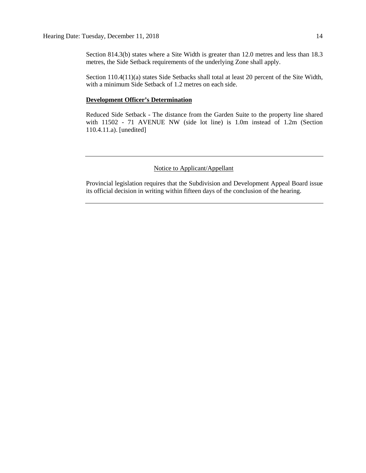Section 814.3(b) states where a Site Width is greater than 12.0 metres and less than 18.3 metres, the Side Setback requirements of the underlying Zone shall apply.

Section 110.4(11)(a) states Side Setbacks shall total at least 20 percent of the Site Width, with a minimum Side Setback of 1.2 metres on each side.

### **Development Officer's Determination**

Reduced Side Setback - The distance from the Garden Suite to the property line shared with 11502 - 71 AVENUE NW (side lot line) is 1.0m instead of 1.2m (Section 110.4.11.a). [unedited]

## Notice to Applicant/Appellant

Provincial legislation requires that the Subdivision and Development Appeal Board issue its official decision in writing within fifteen days of the conclusion of the hearing.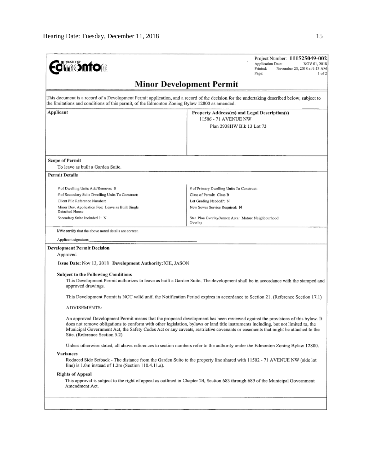| THE CITY OF<br><b>Jin©nto</b> m                                                                                                                                                                                                              | Project Number: 111525049-002<br><b>Application Date:</b><br>NOV 01, 2018<br>Printed:<br>November 23, 2018 at 9:13 AM<br>Page:<br>$1$ of $2$                                                                                                                                                                                                                                                           |  |  |
|----------------------------------------------------------------------------------------------------------------------------------------------------------------------------------------------------------------------------------------------|--------------------------------------------------------------------------------------------------------------------------------------------------------------------------------------------------------------------------------------------------------------------------------------------------------------------------------------------------------------------------------------------------------|--|--|
|                                                                                                                                                                                                                                              | <b>Minor Development Permit</b>                                                                                                                                                                                                                                                                                                                                                                        |  |  |
| This document is a record of a Development Permit application, and a record of the decision for the undertaking described below, subject to<br>the limitations and conditions of this permit, of the Edmonton Zoning Bylaw 12800 as amended. |                                                                                                                                                                                                                                                                                                                                                                                                        |  |  |
| Applicant                                                                                                                                                                                                                                    | Property Address(es) and Legal Description(s)                                                                                                                                                                                                                                                                                                                                                          |  |  |
|                                                                                                                                                                                                                                              | 11506 - 71 AVENUE NW<br>Plan 2938HW Blk 13 Lot 73                                                                                                                                                                                                                                                                                                                                                      |  |  |
|                                                                                                                                                                                                                                              |                                                                                                                                                                                                                                                                                                                                                                                                        |  |  |
| <b>Scope of Permit</b>                                                                                                                                                                                                                       |                                                                                                                                                                                                                                                                                                                                                                                                        |  |  |
| To leave as built a Garden Suite.                                                                                                                                                                                                            |                                                                                                                                                                                                                                                                                                                                                                                                        |  |  |
| <b>Permit Details</b>                                                                                                                                                                                                                        |                                                                                                                                                                                                                                                                                                                                                                                                        |  |  |
| # of Dwelling Units Add/Remove: 0                                                                                                                                                                                                            | # of Primary Dwelling Units To Construct:                                                                                                                                                                                                                                                                                                                                                              |  |  |
| # of Secondary Suite Dwelling Units To Construct;                                                                                                                                                                                            | Class of Permit: Class B                                                                                                                                                                                                                                                                                                                                                                               |  |  |
| Client File Reference Number:                                                                                                                                                                                                                | Lot Grading Needed?: N                                                                                                                                                                                                                                                                                                                                                                                 |  |  |
| Minor Dev. Application Fee: Leave as Built Single<br>Detached House                                                                                                                                                                          | New Sewer Service Required: N                                                                                                                                                                                                                                                                                                                                                                          |  |  |
| Secondary Suite Included ?: N                                                                                                                                                                                                                | Stat. Plan Overlay/Annex Area: Mature Neighbourhood<br>Overlay                                                                                                                                                                                                                                                                                                                                         |  |  |
| I/We certify that the above noted details are correct.                                                                                                                                                                                       |                                                                                                                                                                                                                                                                                                                                                                                                        |  |  |
| Applicant signature:                                                                                                                                                                                                                         |                                                                                                                                                                                                                                                                                                                                                                                                        |  |  |
| <b>Development Permit Decision</b>                                                                                                                                                                                                           |                                                                                                                                                                                                                                                                                                                                                                                                        |  |  |
| Approved                                                                                                                                                                                                                                     |                                                                                                                                                                                                                                                                                                                                                                                                        |  |  |
| Issue Date: Nov 13, 2018 Development Authority: XIE, JASON                                                                                                                                                                                   |                                                                                                                                                                                                                                                                                                                                                                                                        |  |  |
| <b>Subject to the Following Conditions</b><br>approved drawings.                                                                                                                                                                             | This Development Permit authorizes to leave as built a Garden Suite. The development shall be in accordance with the stamped and                                                                                                                                                                                                                                                                       |  |  |
|                                                                                                                                                                                                                                              | This Development Permit is NOT valid until the Notification Period expires in accordance to Section 21. (Reference Section 17.1)                                                                                                                                                                                                                                                                       |  |  |
| <b>ADVISEMENTS:</b>                                                                                                                                                                                                                          |                                                                                                                                                                                                                                                                                                                                                                                                        |  |  |
| Site. (Reference Section 5.2)                                                                                                                                                                                                                | An approved Development Permit means that the proposed development has been reviewed against the provisions of this bylaw. It<br>does not remove obligations to conform with other legislation, bylaws or land title instruments including, but not limited to, the<br>Municipal Government Act, the Safety Codes Act or any caveats, restrictive covenants or easements that might be attached to the |  |  |
|                                                                                                                                                                                                                                              | Unless otherwise stated, all above references to section numbers refer to the authority under the Edmonton Zoning Bylaw 12800.                                                                                                                                                                                                                                                                         |  |  |
| Variances                                                                                                                                                                                                                                    |                                                                                                                                                                                                                                                                                                                                                                                                        |  |  |
| line) is $1.0m$ instead of $1.2m$ (Section $110.4.11.a$ ).                                                                                                                                                                                   | Reduced Side Setback - The distance from the Garden Suite to the property line shared with 11502 - 71 AVENUE NW (side lot                                                                                                                                                                                                                                                                              |  |  |
| <b>Rights of Appeal</b>                                                                                                                                                                                                                      |                                                                                                                                                                                                                                                                                                                                                                                                        |  |  |
| Amendment Act.                                                                                                                                                                                                                               | This approval is subject to the right of appeal as outlined in Chapter 24, Section 683 through 689 of the Municipal Government                                                                                                                                                                                                                                                                         |  |  |
|                                                                                                                                                                                                                                              |                                                                                                                                                                                                                                                                                                                                                                                                        |  |  |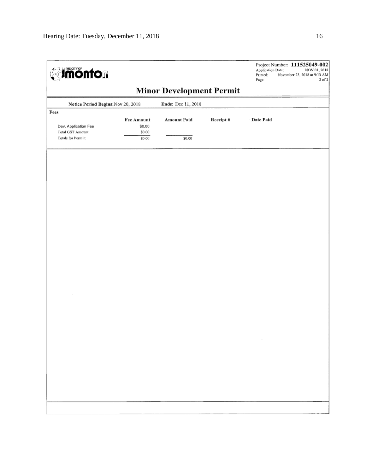| <b>dimonton</b>                                                         |                                                 |                                 |          | Application Date:<br>Printed:<br>Page: | Project Number: 111525049-002<br>NOV 01, 2018<br>November 23, 2018 at 9:13 AM<br>$2$ of $2$ |
|-------------------------------------------------------------------------|-------------------------------------------------|---------------------------------|----------|----------------------------------------|---------------------------------------------------------------------------------------------|
|                                                                         |                                                 | <b>Minor Development Permit</b> |          |                                        |                                                                                             |
| Notice Period Begins: Nov 20, 2018                                      |                                                 | Ends: Dec 11, 2018              |          |                                        |                                                                                             |
| Fees<br>Dev. Application Fee<br>Total GST Amount:<br>Totals for Permit: | <b>Fee Amount</b><br>\$0.00<br>\$0.00<br>\$0.00 | <b>Amount Paid</b><br>\$0.00    | Receipt# | Date Paid                              |                                                                                             |
|                                                                         |                                                 |                                 |          |                                        |                                                                                             |
|                                                                         |                                                 |                                 |          |                                        |                                                                                             |
|                                                                         |                                                 |                                 |          |                                        |                                                                                             |
|                                                                         |                                                 |                                 |          |                                        |                                                                                             |
|                                                                         |                                                 |                                 |          |                                        |                                                                                             |
|                                                                         |                                                 |                                 |          |                                        |                                                                                             |
|                                                                         |                                                 |                                 |          |                                        |                                                                                             |
|                                                                         |                                                 |                                 |          |                                        |                                                                                             |
|                                                                         |                                                 |                                 |          | $\sim 10^{11}$ km s $^{-1}$            |                                                                                             |
|                                                                         |                                                 |                                 |          |                                        |                                                                                             |
|                                                                         |                                                 |                                 |          |                                        |                                                                                             |
|                                                                         |                                                 |                                 |          |                                        |                                                                                             |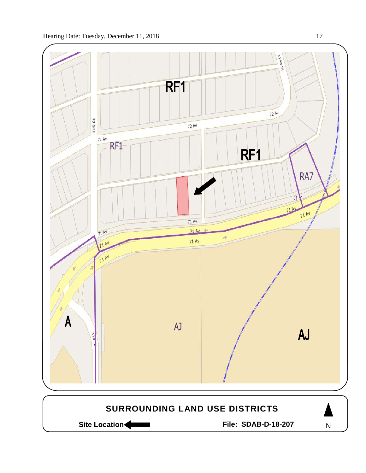



Site Location **Community Contracts** File: SDAB-D-18-207

N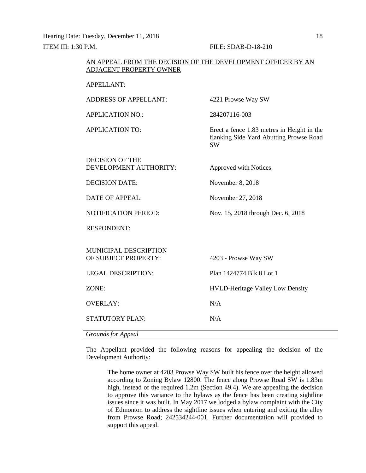Hearing Date: Tuesday, December 11, 2018 18 ITEM III: 1:30 P.M. FILE: SDAB-D-18-210

APPELLANT:

|                         | AN APPEAL FROM THE DECISION OF THE DEVELOPMENT OFFICER BY AN |
|-------------------------|--------------------------------------------------------------|
| ADJACENT PROPERTY OWNER |                                                              |

| <b>ADDRESS OF APPELLANT:</b>                     | 4221 Prowse Way SW                                                                                 |
|--------------------------------------------------|----------------------------------------------------------------------------------------------------|
| <b>APPLICATION NO.:</b>                          | 284207116-003                                                                                      |
| <b>APPLICATION TO:</b>                           | Erect a fence 1.83 metres in Height in the<br>flanking Side Yard Abutting Prowse Road<br><b>SW</b> |
| <b>DECISION OF THE</b><br>DEVELOPMENT AUTHORITY: | Approved with Notices                                                                              |
| <b>DECISION DATE:</b>                            | November 8, 2018                                                                                   |
| <b>DATE OF APPEAL:</b>                           | November 27, 2018                                                                                  |
| <b>NOTIFICATION PERIOD:</b>                      | Nov. 15, 2018 through Dec. 6, 2018                                                                 |
| <b>RESPONDENT:</b>                               |                                                                                                    |
| MUNICIPAL DESCRIPTION<br>OF SUBJECT PROPERTY:    | 4203 - Prowse Way SW                                                                               |
| <b>LEGAL DESCRIPTION:</b>                        | Plan 1424774 Blk 8 Lot 1                                                                           |
| ZONE:                                            | <b>HVLD-Heritage Valley Low Density</b>                                                            |
| <b>OVERLAY:</b>                                  | N/A                                                                                                |
| <b>STATUTORY PLAN:</b>                           | N/A                                                                                                |
| <b>Grounds for Appeal</b>                        |                                                                                                    |

The Appellant provided the following reasons for appealing the decision of the Development Authority:

The home owner at 4203 Prowse Way SW built his fence over the height allowed according to Zoning Bylaw 12800. The fence along Prowse Road SW is 1.83m high, instead of the required 1.2m (Section 49.4). We are appealing the decision to approve this variance to the bylaws as the fence has been creating sightline issues since it was built. In May 2017 we lodged a bylaw complaint with the City of Edmonton to address the sightline issues when entering and exiting the alley from Prowse Road; 242534244-001. Further documentation will provided to support this appeal.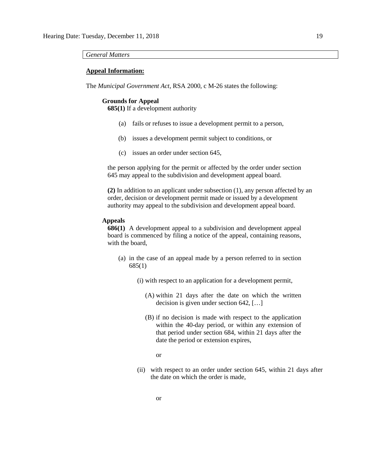*General Matters*

#### **Appeal Information:**

The *Municipal Government Act*, RSA 2000, c M-26 states the following:

#### **Grounds for Appeal**

**685(1)** If a development authority

- (a) fails or refuses to issue a development permit to a person,
- (b) issues a development permit subject to conditions, or
- (c) issues an order under section 645,

the person applying for the permit or affected by the order under section 645 may appeal to the subdivision and development appeal board.

**(2)** In addition to an applicant under subsection (1), any person affected by an order, decision or development permit made or issued by a development authority may appeal to the subdivision and development appeal board.

#### **Appeals**

**686(1)** A development appeal to a subdivision and development appeal board is commenced by filing a notice of the appeal, containing reasons, with the board,

- (a) in the case of an appeal made by a person referred to in section 685(1)
	- (i) with respect to an application for a development permit,
		- (A) within 21 days after the date on which the written decision is given under section 642, […]
		- (B) if no decision is made with respect to the application within the 40-day period, or within any extension of that period under section 684, within 21 days after the date the period or extension expires,

or

(ii) with respect to an order under section 645, within 21 days after the date on which the order is made,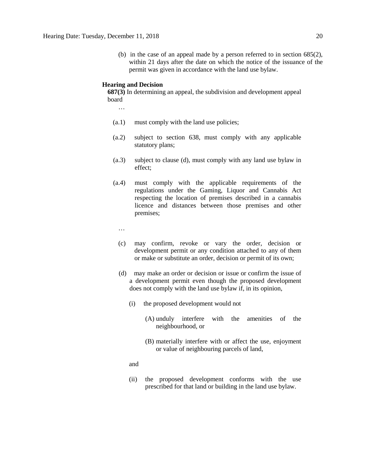(b) in the case of an appeal made by a person referred to in section 685(2), within 21 days after the date on which the notice of the issuance of the permit was given in accordance with the land use bylaw.

#### **Hearing and Decision**

**687(3)** In determining an appeal, the subdivision and development appeal board

…

- (a.1) must comply with the land use policies;
- (a.2) subject to section 638, must comply with any applicable statutory plans;
- (a.3) subject to clause (d), must comply with any land use bylaw in effect;
- (a.4) must comply with the applicable requirements of the regulations under the Gaming, Liquor and Cannabis Act respecting the location of premises described in a cannabis licence and distances between those premises and other premises;
	- …
	- (c) may confirm, revoke or vary the order, decision or development permit or any condition attached to any of them or make or substitute an order, decision or permit of its own;
	- (d) may make an order or decision or issue or confirm the issue of a development permit even though the proposed development does not comply with the land use bylaw if, in its opinion,
		- (i) the proposed development would not
			- (A) unduly interfere with the amenities of the neighbourhood, or
			- (B) materially interfere with or affect the use, enjoyment or value of neighbouring parcels of land,

and

(ii) the proposed development conforms with the use prescribed for that land or building in the land use bylaw.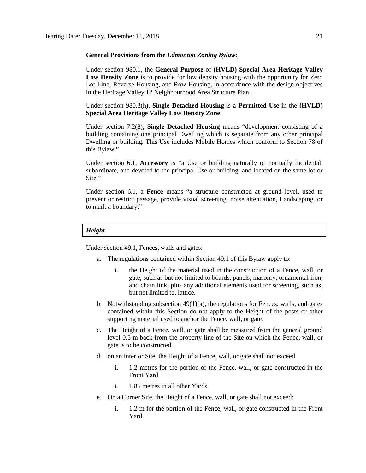#### **General Provisions from the** *Edmonton Zoning Bylaw:*

Under section 980.1, the **General Purpose** of **(HVLD) Special Area Heritage Valley Low Density Zone** is to provide for low density housing with the opportunity for Zero Lot Line, Reverse Housing, and Row Housing, in accordance with the design objectives in the Heritage Valley 12 Neighbourhood Area Structure Plan.

Under section 980.3(h), **Single Detached Housing** is a **Permitted Use** in the **(HVLD) Special Area Heritage Valley Low Density Zone**.

Under section 7.2(8), **Single Detached Housing** means "development consisting of a building containing one principal Dwelling which is separate from any other principal Dwelling or building. This Use includes Mobile Homes which conform to Section 78 of this Bylaw."

Under section 6.1, **Accessory** is "a Use or building naturally or normally incidental, subordinate, and devoted to the principal Use or building, and located on the same lot or Site."

Under section 6.1, a **Fence** means "a structure constructed at ground level, used to prevent or restrict passage, provide visual screening, noise attenuation, Landscaping, or to mark a boundary."

### *Height*

Under section 49.1, Fences, walls and gates:

- a. The regulations contained within Section 49.1 of this Bylaw apply to:
	- i. the Height of the material used in the construction of a Fence, wall, or gate, such as but not limited to boards, panels, masonry, ornamental iron, and chain link, plus any additional elements used for screening, such as, but not limited to, lattice.
- b. Notwithstanding subsection  $49(1)(a)$ , the regulations for Fences, walls, and gates contained within this Section do not apply to the Height of the posts or other supporting material used to anchor the Fence, wall, or gate.
- c. The Height of a Fence, wall, or gate shall be measured from the general ground level 0.5 m back from the property line of the Site on which the Fence, wall, or gate is to be constructed.
- d. on an Interior Site, the Height of a Fence, wall, or gate shall not exceed
	- i. 1.2 metres for the portion of the Fence, wall, or gate constructed in the Front Yard
	- ii. 1.85 metres in all other Yards.
- e. On a Corner Site, the Height of a Fence, wall, or gate shall not exceed:
	- i. 1.2 m for the portion of the Fence, wall, or gate constructed in the Front Yard,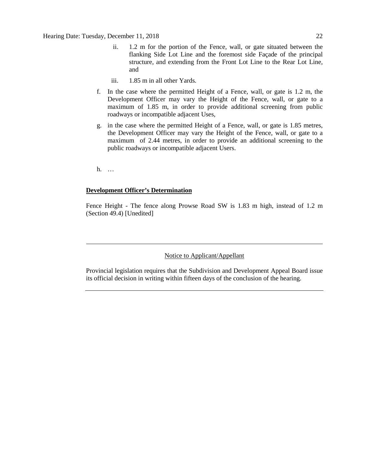- ii. 1.2 m for the portion of the Fence, wall, or gate situated between the flanking Side Lot Line and the foremost side Façade of the principal structure, and extending from the Front Lot Line to the Rear Lot Line, and
- iii. 1.85 m in all other Yards.
- f. In the case where the permitted Height of a Fence, wall, or gate is 1.2 m, the Development Officer may vary the Height of the Fence, wall, or gate to a maximum of 1.85 m, in order to provide additional screening from public roadways or incompatible adjacent Uses,
- g. in the case where the permitted Height of a Fence, wall, or gate is 1.85 metres, the Development Officer may vary the Height of the Fence, wall, or gate to a maximum of 2.44 metres, in order to provide an additional screening to the public roadways or incompatible adjacent Users.

h. …

## **Development Officer's Determination**

Fence Height - The fence along Prowse Road SW is 1.83 m high, instead of 1.2 m (Section 49.4) [Unedited]

## Notice to Applicant/Appellant

Provincial legislation requires that the Subdivision and Development Appeal Board issue its official decision in writing within fifteen days of the conclusion of the hearing.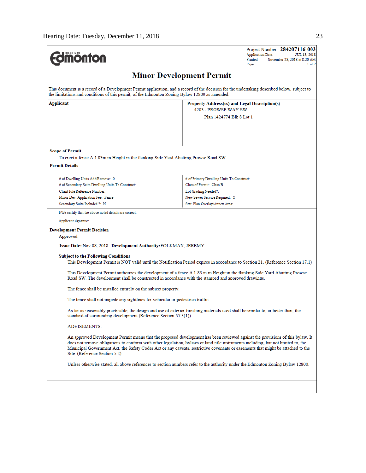| THE CITY OF<br><b>nonton</b>                                                                        | Project Number: 284207116-003<br><b>Application Date:</b><br>JUL 13, 2018<br>Printed:<br>November 28, 2018 at 8:20 AM<br>1 of 2<br>Page:                                                                                                                                                                                                                                                               |  |  |  |
|-----------------------------------------------------------------------------------------------------|--------------------------------------------------------------------------------------------------------------------------------------------------------------------------------------------------------------------------------------------------------------------------------------------------------------------------------------------------------------------------------------------------------|--|--|--|
| <b>Minor Development Permit</b>                                                                     |                                                                                                                                                                                                                                                                                                                                                                                                        |  |  |  |
| the limitations and conditions of this permit, of the Edmonton Zoning Bylaw 12800 as amended.       | This document is a record of a Development Permit application, and a record of the decision for the undertaking described below, subject to                                                                                                                                                                                                                                                            |  |  |  |
| Applicant                                                                                           | Property Address(es) and Legal Description(s)                                                                                                                                                                                                                                                                                                                                                          |  |  |  |
|                                                                                                     | 4203 - PROWSE WAY SW                                                                                                                                                                                                                                                                                                                                                                                   |  |  |  |
|                                                                                                     | Plan 1424774 Blk 8 Lot 1                                                                                                                                                                                                                                                                                                                                                                               |  |  |  |
| <b>Scope of Permit</b>                                                                              |                                                                                                                                                                                                                                                                                                                                                                                                        |  |  |  |
| To erect a fence A 1.83m in Height in the flanking Side Yard Abutting Prowse Road SW.               |                                                                                                                                                                                                                                                                                                                                                                                                        |  |  |  |
| <b>Permit Details</b>                                                                               |                                                                                                                                                                                                                                                                                                                                                                                                        |  |  |  |
|                                                                                                     | # of Primary Dwelling Units To Construct:                                                                                                                                                                                                                                                                                                                                                              |  |  |  |
| # of Dwelling Units Add/Remove: 0<br># of Secondary Suite Dwelling Units To Construct:              | Class of Permit: Class B                                                                                                                                                                                                                                                                                                                                                                               |  |  |  |
| <b>Client File Reference Number:</b>                                                                | Lot Grading Needed?:                                                                                                                                                                                                                                                                                                                                                                                   |  |  |  |
| Minor Dev. Application Fee: Fence                                                                   | New Sewer Service Required: Y                                                                                                                                                                                                                                                                                                                                                                          |  |  |  |
| Secondary Suite Included ?: N                                                                       | Stat. Plan Overlay/Annex Area:                                                                                                                                                                                                                                                                                                                                                                         |  |  |  |
| I/We certify that the above noted details are correct.                                              |                                                                                                                                                                                                                                                                                                                                                                                                        |  |  |  |
| Applicant signature:                                                                                |                                                                                                                                                                                                                                                                                                                                                                                                        |  |  |  |
| <b>Development Permit Decision</b>                                                                  |                                                                                                                                                                                                                                                                                                                                                                                                        |  |  |  |
| Approved                                                                                            |                                                                                                                                                                                                                                                                                                                                                                                                        |  |  |  |
| Issue Date: Nov 08, 2018 Development Authority: FOLKMAN, JEREMY                                     |                                                                                                                                                                                                                                                                                                                                                                                                        |  |  |  |
| <b>Subject to the Following Conditions</b>                                                          | This Development Permit is NOT valid until the Notification Period expires in accordance to Section 21. (Reference Section 17.1)                                                                                                                                                                                                                                                                       |  |  |  |
| Road SW. The development shall be constructed in accordance with the stamped and approved drawings. | This Development Permit authorizes the development of a fence A 1.83 m in Height in the flanking Side Yard Abutting Prowse                                                                                                                                                                                                                                                                             |  |  |  |
| The fence shall be installed entirely on the subject property.                                      |                                                                                                                                                                                                                                                                                                                                                                                                        |  |  |  |
| The fence shall not impede any sightlines for vehicular or pedestrian traffic.                      |                                                                                                                                                                                                                                                                                                                                                                                                        |  |  |  |
| standard of surrounding development (Reference Section 57.3(1)).                                    | As far as reasonably practicable, the design and use of exterior finishing materials used shall be similar to, or better than, the                                                                                                                                                                                                                                                                     |  |  |  |
| <b>ADVISEMENTS:</b>                                                                                 |                                                                                                                                                                                                                                                                                                                                                                                                        |  |  |  |
| Site. (Reference Section 5.2)                                                                       | An approved Development Permit means that the proposed development has been reviewed against the provisions of this bylaw. It<br>does not remove obligations to conform with other legislation, bylaws or land title instruments including, but not limited to, the<br>Municipal Government Act, the Safety Codes Act or any caveats, restrictive covenants or easements that might be attached to the |  |  |  |
|                                                                                                     | Unless otherwise stated, all above references to section numbers refer to the authority under the Edmonton Zoning Bylaw 12800.                                                                                                                                                                                                                                                                         |  |  |  |
|                                                                                                     |                                                                                                                                                                                                                                                                                                                                                                                                        |  |  |  |
|                                                                                                     |                                                                                                                                                                                                                                                                                                                                                                                                        |  |  |  |
|                                                                                                     |                                                                                                                                                                                                                                                                                                                                                                                                        |  |  |  |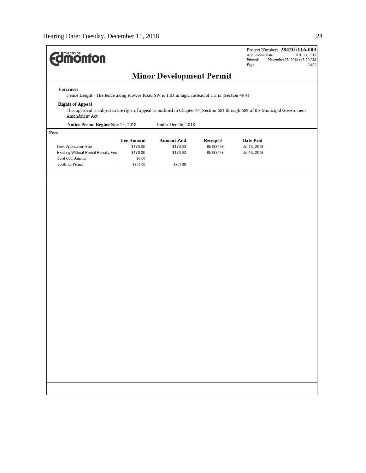| <b>dimonton</b>                                                                                                   |                   |                                 |          | Project Number: 284207116-003<br><b>Application Date:</b><br>JUL 13, 2018<br>Printed:<br>November 28, 2018 at 8:20 AM<br>Page: |
|-------------------------------------------------------------------------------------------------------------------|-------------------|---------------------------------|----------|--------------------------------------------------------------------------------------------------------------------------------|
|                                                                                                                   |                   | <b>Minor Development Permit</b> |          |                                                                                                                                |
| <b>Variances</b><br>Fence Height - The fence along Prowse Road SW is 1.83 m high, instead of 1.2 m (Section 49.4) |                   |                                 |          |                                                                                                                                |
| <b>Rights of Appeal</b><br>Amendment Act.                                                                         |                   |                                 |          | This approval is subject to the right of appeal as outlined in Chapter 24, Section 683 through 689 of the Municipal Government |
| Notice Period Begins: Nov 15, 2018                                                                                |                   | Ends: Dec 06, 2018              |          |                                                                                                                                |
| Fees                                                                                                              |                   |                                 |          |                                                                                                                                |
|                                                                                                                   | <b>Fee Amount</b> | <b>Amount Paid</b>              | Receipt# | <b>Date Paid</b>                                                                                                               |
| Dev. Application Fee                                                                                              | \$176.00          | \$176.00                        | 05183448 | Jul 13, 2018                                                                                                                   |
| Existing Without Permit Penalty Fee                                                                               | \$176.00          | \$176.00                        | 05183448 | Jul 13, 2018                                                                                                                   |
| <b>Total GST Amount:</b>                                                                                          | \$0.00            |                                 |          |                                                                                                                                |
| <b>Totals for Permit:</b>                                                                                         | \$352.00          | \$352.00                        |          |                                                                                                                                |
|                                                                                                                   |                   |                                 |          |                                                                                                                                |
|                                                                                                                   |                   |                                 |          |                                                                                                                                |